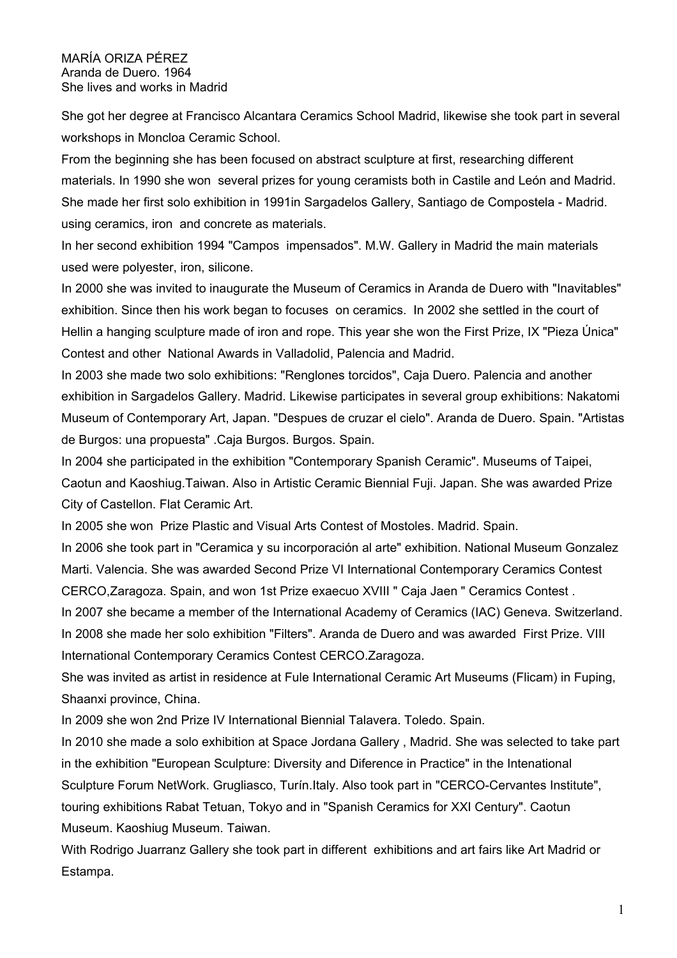## MARÍA ORIZA PÉREZ Aranda de Duero. 1964 She lives and works in Madrid

She got her degree at Francisco Alcantara Ceramics School Madrid, likewise she took part in several workshops in Moncloa Ceramic School.

From the beginning she has been focused on abstract sculpture at first, researching different materials. In 1990 she won several prizes for young ceramists both in Castile and León and Madrid. She made her first solo exhibition in 1991in Sargadelos Gallery, Santiago de Compostela - Madrid. using ceramics, iron and concrete as materials.

In her second exhibition 1994 "Campos impensados". M.W. Gallery in Madrid the main materials used were polyester, iron, silicone.

In 2000 she was invited to inaugurate the Museum of Ceramics in Aranda de Duero with "Inavitables" exhibition. Since then his work began to focuses on ceramics. In 2002 she settled in the court of Hellin a hanging sculpture made of iron and rope. This year she won the First Prize, IX "Pieza Única" Contest and other National Awards in Valladolid, Palencia and Madrid.

In 2003 she made two solo exhibitions: "Renglones torcidos", Caja Duero. Palencia and another exhibition in Sargadelos Gallery. Madrid. Likewise participates in several group exhibitions: Nakatomi Museum of Contemporary Art, Japan. "Despues de cruzar el cielo". Aranda de Duero. Spain. "Artistas de Burgos: una propuesta" .Caja Burgos. Burgos. Spain.

In 2004 she participated in the exhibition "Contemporary Spanish Ceramic". Museums of Taipei, Caotun and Kaoshiug.Taiwan. Also in Artistic Ceramic Biennial Fuji. Japan. She was awarded Prize City of Castellon. Flat Ceramic Art.

In 2005 she won Prize Plastic and Visual Arts Contest of Mostoles. Madrid. Spain.

In 2006 she took part in "Ceramica y su incorporación al arte" exhibition. National Museum Gonzalez Marti. Valencia. She was awarded Second Prize VI International Contemporary Ceramics Contest CERCO,Zaragoza. Spain, and won 1st Prize exaecuo XVIII " Caja Jaen " Ceramics Contest .

In 2007 she became a member of the International Academy of Ceramics (IAC) Geneva. Switzerland. In 2008 she made her solo exhibition "Filters". Aranda de Duero and was awarded First Prize. VIII International Contemporary Ceramics Contest CERCO.Zaragoza.

She was invited as artist in residence at Fule International Ceramic Art Museums (Flicam) in Fuping, Shaanxi province, China.

In 2009 she won 2nd Prize IV International Biennial Talavera. Toledo. Spain.

In 2010 she made a solo exhibition at Space Jordana Gallery , Madrid. She was selected to take part in the exhibition "European Sculpture: Diversity and Diference in Practice" in the Intenational Sculpture Forum NetWork. Grugliasco, Turín.Italy. Also took part in "CERCO-Cervantes Institute", touring exhibitions Rabat Tetuan, Tokyo and in "Spanish Ceramics for XXI Century". Caotun Museum. Kaoshiug Museum. Taiwan.

With Rodrigo Juarranz Gallery she took part in different exhibitions and art fairs like Art Madrid or Estampa.